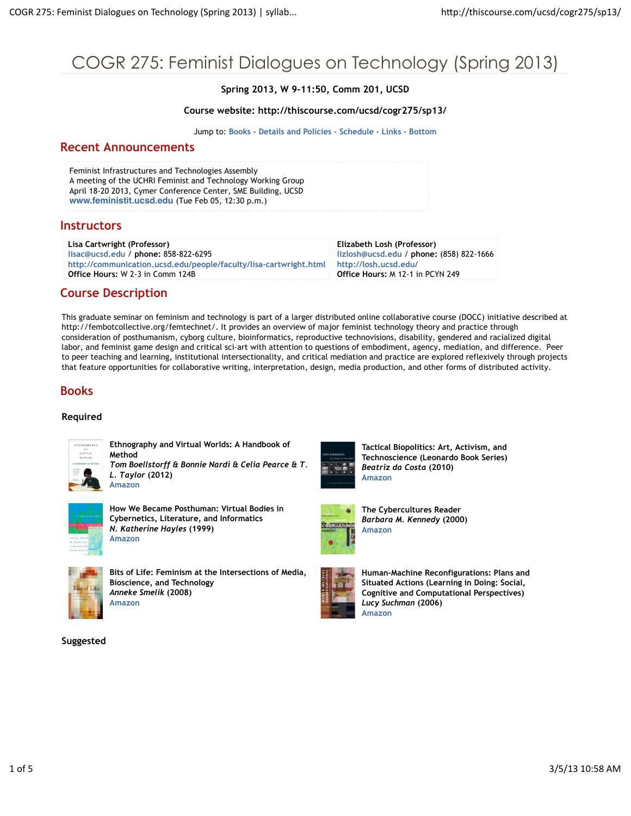# COGR 275: Feminist Dialogues on Technology (Spring 2013)

**Spring 2013, W 9-11:50, Comm 201, UCSD**

#### **Course website: http://thiscourse.com/ucsd/cogr275/sp13/**

Jump to: **Books** - **Details and Policies** - **Schedule** - **Links** - **Bottom**

#### **Recent Announcements**

Feminist Infrastructures and Technologies Assembly A meeting of the UCHRI Feminist and Technology Working Group April 18-20 2013, Cymer Conference Center, SME Building, UCSD **www.feministit.ucsd.edu** (Tue Feb 05, 12:30 p.m.)

#### **Instructors**

**Lisa Cartwright (Professor) lisac@ucsd.edu** / **phone:** 858-822-6295 **http://communication.ucsd.edu/people/faculty/lisa-cartwright.html Office Hours:** W 2-3 in Comm 124B

**Elizabeth Losh (Professor) lizlosh@ucsd.edu** / **phone:** (858) 822-1666 **http://losh.ucsd.edu/ Office Hours:** M 12-1 in PCYN 249

### **Course Description**

This graduate seminar on feminism and technology is part of a larger distributed online collaborative course (DOCC) initiative described at http://fembotcollective.org/femtechnet/. It provides an overview of major feminist technology theory and practice through consideration of posthumanism, cyborg culture, bioinformatics, reproductive technovisions, disability, gendered and racialized digital labor, and feminist game design and critical sci-art with attention to questions of embodiment, agency, mediation, and difference. Peer to peer teaching and learning, institutional intersectionality, and critical mediation and practice are explored reflexively through projects that feature opportunities for collaborative writing, interpretation, design, media production, and other forms of distributed activity.

### **Books**

#### **Required**



**Amazon**

**Ethnography and Virtual Worlds: A Handbook of Method** *Tom Boellstorff & Bonnie Nardi & Celia Pearce & T. L. Taylor* **(2012)**



**How We Became Posthuman: Virtual Bodies in Cybernetics, Literature, and Informatics** *N. Katherine Hayles* **(1999) Amazon**



**Bits of Life: Feminism at the Intersections of Media, Bioscience, and Technology** *Anneke Smelik* **(2008) Amazon**

#### **Suggested**



**Tactical Biopolitics: Art, Activism, and Technoscience (Leonardo Book Series)** *Beatriz da Costa* **(2010) Amazon**



**The Cybercultures Reader** *Barbara M. Kennedy* **(2000) Amazon**



**Human-Machine Reconfigurations: Plans and Situated Actions (Learning in Doing: Social, Cognitive and Computational Perspectives)** *Lucy Suchman* **(2006) Amazon**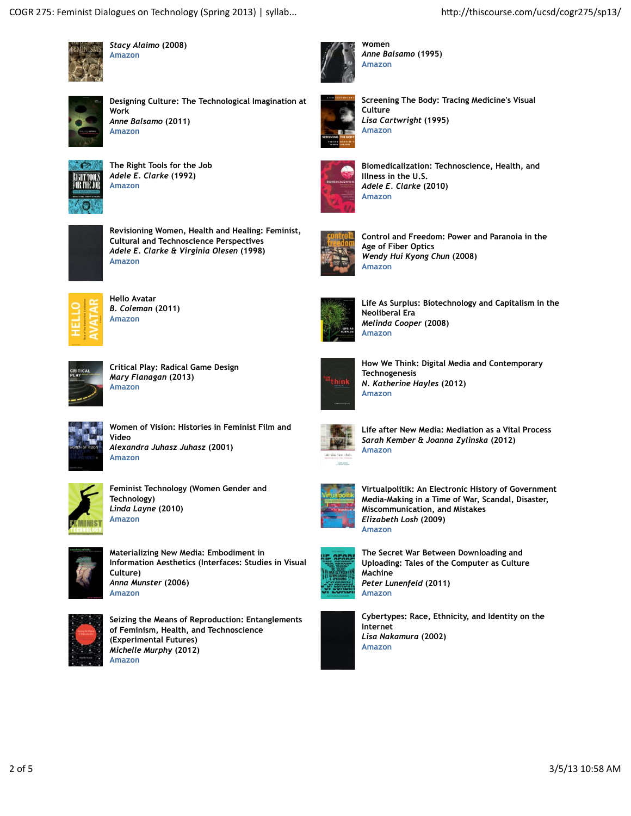

*Stacy Alaimo* **(2008) Amazon**



**Designing Culture: The Technological Imagination at Work** *Anne Balsamo* **(2011) Amazon**



**The Right Tools for the Job** *Adele E. Clarke* **(1992) Amazon**



**Revisioning Women, Health and Healing: Feminist, Cultural and Technoscience Perspectives** *Adele E. Clarke & Virginia Olesen* **(1998) Amazon**



**Hello Avatar** *B. Coleman* **(2011) Amazon**



**Critical Play: Radical Game Design** *Mary Flanagan* **(2013) Amazon**



**Women of Vision: Histories in Feminist Film and Video** *Alexandra Juhasz Juhasz* **(2001) Amazon**



**Feminist Technology (Women Gender and Technology)** *Linda Layne* **(2010) Amazon**



**Materializing New Media: Embodiment in Information Aesthetics (Interfaces: Studies in Visual Culture)** *Anna Munster* **(2006) Amazon**



**Seizing the Means of Reproduction: Entanglements of Feminism, Health, and Technoscience (Experimental Futures)** *Michelle Murphy* **(2012) Amazon**



**Women** *Anne Balsamo* **(1995) Amazon**



**Screening The Body: Tracing Medicine's Visual Culture** *Lisa Cartwright* **(1995) Amazon**



**Biomedicalization: Technoscience, Health, and Illness in the U.S.** *Adele E. Clarke* **(2010) Amazon**



**Control and Freedom: Power and Paranoia in the Age of Fiber Optics** *Wendy Hui Kyong Chun* **(2008) Amazon**



**Life As Surplus: Biotechnology and Capitalism in the Neoliberal Era** *Melinda Cooper* **(2008) Amazon**



**How We Think: Digital Media and Contemporary Technogenesis** *N. Katherine Hayles* **(2012) Amazon**



**Life after New Media: Mediation as a Vital Process** *Sarah Kember & Joanna Zylinska* **(2012) Amazon**



**Virtualpolitik: An Electronic History of Government Media-Making in a Time of War, Scandal, Disaster, Miscommunication, and Mistakes** *Elizabeth Losh* **(2009) Amazon**



**The Secret War Between Downloading and Uploading: Tales of the Computer as Culture Machine** *Peter Lunenfeld* **(2011) Amazon**



**Cybertypes: Race, Ethnicity, and Identity on the Internet** *Lisa Nakamura* **(2002) Amazon**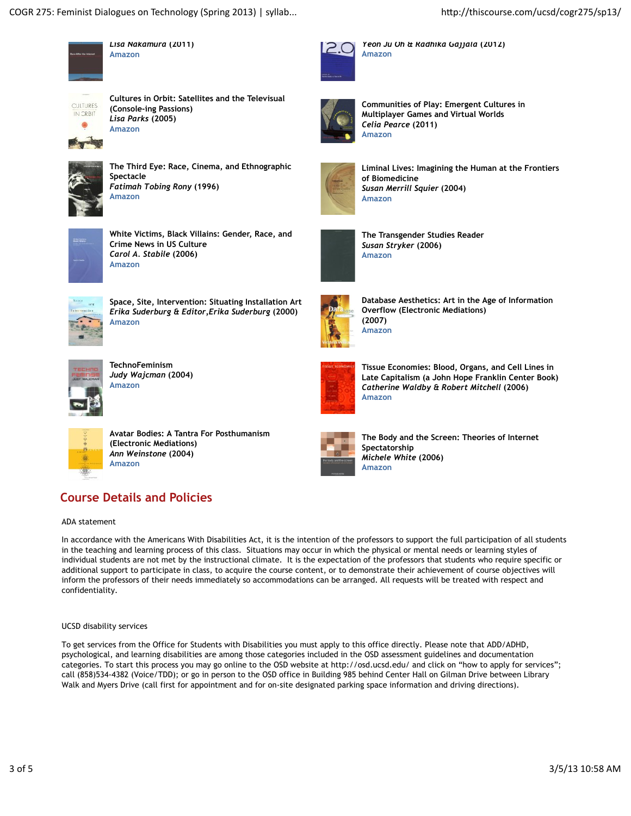

*Lisa Nakamura* **(2011) Amazon**



**Cultures in Orbit: Satellites and the Televisual (Console-ing Passions)** *Lisa Parks* **(2005) Amazon**



**The Third Eye: Race, Cinema, and Ethnographic Spectacle** *Fatimah Tobing Rony* **(1996) Amazon**



**White Victims, Black Villains: Gender, Race, and Crime News in US Culture** *Carol A. Stabile* **(2006) Amazon**



**Space, Site, Intervention: Situating Installation Art** *Erika Suderburg & Editor,Erika Suderburg* **(2000) Amazon**



**TechnoFeminism** *Judy Wajcman* **(2004) Amazon**



**Avatar Bodies: A Tantra For Posthumanism (Electronic Mediations)** *Ann Weinstone* **(2004) Amazon**

# **Course Details and Policies**

ADA statement

In accordance with the Americans With Disabilities Act, it is the intention of the professors to support the full participation of all students in the teaching and learning process of this class. Situations may occur in which the physical or mental needs or learning styles of individual students are not met by the instructional climate. It is the expectation of the professors that students who require specific or additional support to participate in class, to acquire the course content, or to demonstrate their achievement of course objectives will inform the professors of their needs immediately so accommodations can be arranged. All requests will be treated with respect and confidentiality.

#### UCSD disability services

To get services from the Office for Students with Disabilities you must apply to this office directly. Please note that ADD/ADHD, psychological, and learning disabilities are among those categories included in the OSD assessment guidelines and documentation categories. To start this process you may go online to the OSD website at http://osd.ucsd.edu/ and click on "how to apply for services"; call (858)534-4382 (Voice/TDD); or go in person to the OSD office in Building 985 behind Center Hall on Gilman Drive between Library Walk and Myers Drive (call first for appointment and for on-site designated parking space information and driving directions).



**Amazon**

**Communities of Play: Emergent Cultures in Multiplayer Games and Virtual Worlds** *Celia Pearce* **(2011) Amazon**

*Yeon Ju Oh & Radhika Gajjala* **(2012)**



**Liminal Lives: Imagining the Human at the Frontiers of Biomedicine** *Susan Merrill Squier* **(2004) Amazon**



**The Transgender Studies Reader** *Susan Stryker* **(2006) Amazon**



**Database Aesthetics: Art in the Age of Information Overflow (Electronic Mediations) (2007) Amazon**



**Tissue Economies: Blood, Organs, and Cell Lines in Late Capitalism (a John Hope Franklin Center Book)** *Catherine Waldby & Robert Mitchell* **(2006) Amazon**



**The Body and the Screen: Theories of Internet Spectatorship** *Michele White* **(2006) Amazon**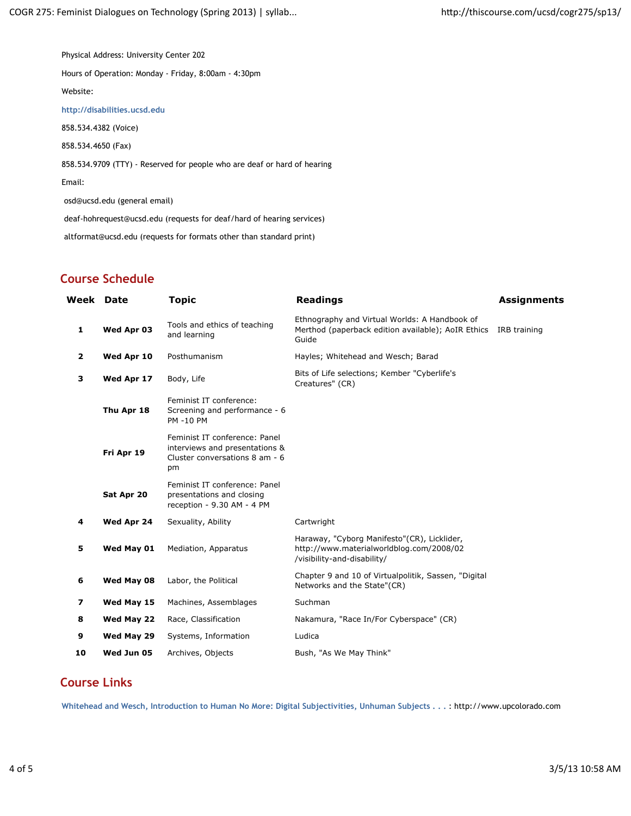Physical Address: University Center 202

Hours of Operation: Monday - Friday, 8:00am - 4:30pm

Website:

**http://disabilities.ucsd.edu**

858.534.4382 (Voice)

858.534.4650 (Fax)

858.534.9709 (TTY) - Reserved for people who are deaf or hard of hearing

Email:

osd@ucsd.edu (general email)

deaf-hohrequest@ucsd.edu (requests for deaf/hard of hearing services)

altformat@ucsd.edu (requests for formats other than standard print)

# **Course Schedule**

| Week         | Date       | <b>Topic</b>                                                                                            | <b>Readings</b>                                                                                                        | <b>Assignments</b> |
|--------------|------------|---------------------------------------------------------------------------------------------------------|------------------------------------------------------------------------------------------------------------------------|--------------------|
| $\mathbf{1}$ | Wed Apr 03 | Tools and ethics of teaching<br>and learning                                                            | Ethnography and Virtual Worlds: A Handbook of<br>Merthod (paperback edition available); AoIR Ethics<br>Guide           | IRB training       |
| $\mathbf{2}$ | Wed Apr 10 | Posthumanism                                                                                            | Hayles; Whitehead and Wesch; Barad                                                                                     |                    |
| 3            | Wed Apr 17 | Body, Life                                                                                              | Bits of Life selections; Kember "Cyberlife's<br>Creatures" (CR)                                                        |                    |
|              | Thu Apr 18 | Feminist IT conference:<br>Screening and performance - 6<br><b>PM-10 PM</b>                             |                                                                                                                        |                    |
|              | Fri Apr 19 | Feminist IT conference: Panel<br>interviews and presentations &<br>Cluster conversations 8 am - 6<br>pm |                                                                                                                        |                    |
|              | Sat Apr 20 | Feminist IT conference: Panel<br>presentations and closing<br>reception - 9.30 AM - 4 PM                |                                                                                                                        |                    |
| 4            | Wed Apr 24 | Sexuality, Ability                                                                                      | Cartwright                                                                                                             |                    |
| 5            | Wed May 01 | Mediation, Apparatus                                                                                    | Haraway, "Cyborg Manifesto"(CR), Licklider,<br>http://www.materialworldblog.com/2008/02<br>/visibility-and-disability/ |                    |
| 6            | Wed May 08 | Labor, the Political                                                                                    | Chapter 9 and 10 of Virtualpolitik, Sassen, "Digital<br>Networks and the State"(CR)                                    |                    |
| 7            | Wed May 15 | Machines, Assemblages                                                                                   | Suchman                                                                                                                |                    |
| 8            | Wed May 22 | Race, Classification                                                                                    | Nakamura, "Race In/For Cyberspace" (CR)                                                                                |                    |
| 9            | Wed May 29 | Systems, Information                                                                                    | Ludica                                                                                                                 |                    |
| 10           | Wed Jun 05 | Archives, Objects                                                                                       | Bush, "As We May Think"                                                                                                |                    |

## **Course Links**

**Whitehead and Wesch, Introduction to Human No More: Digital Subjectivities, Unhuman Subjects . . .** : http://www.upcolorado.com